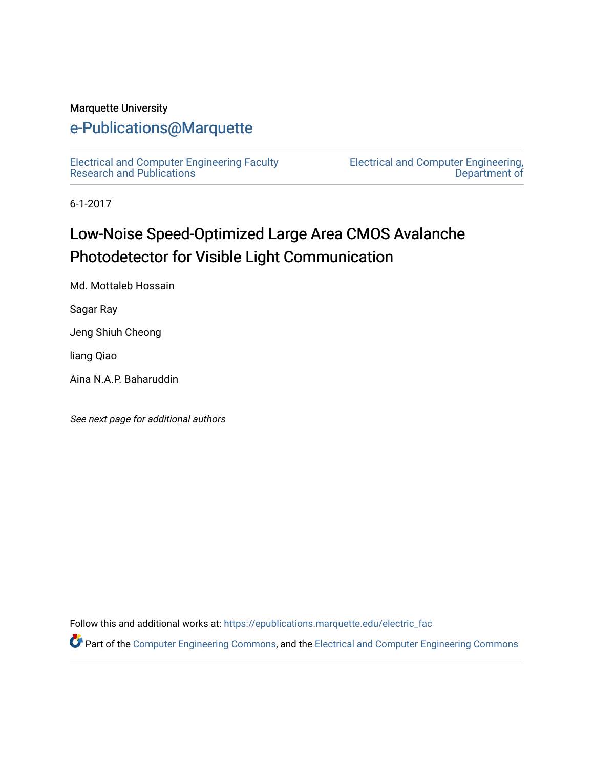#### Marquette University

## [e-Publications@Marquette](https://epublications.marquette.edu/)

[Electrical and Computer Engineering Faculty](https://epublications.marquette.edu/electric_fac) [Research and Publications](https://epublications.marquette.edu/electric_fac) 

[Electrical and Computer Engineering,](https://epublications.marquette.edu/electric)  [Department of](https://epublications.marquette.edu/electric) 

6-1-2017

# Low-Noise Speed-Optimized Large Area CMOS Avalanche Photodetector for Visible Light Communication

Md. Mottaleb Hossain

Sagar Ray

Jeng Shiuh Cheong

liang Qiao

Aina N.A.P. Baharuddin

See next page for additional authors

Follow this and additional works at: [https://epublications.marquette.edu/electric\\_fac](https://epublications.marquette.edu/electric_fac?utm_source=epublications.marquette.edu%2Felectric_fac%2F553&utm_medium=PDF&utm_campaign=PDFCoverPages) 

Part of the [Computer Engineering Commons,](http://network.bepress.com/hgg/discipline/258?utm_source=epublications.marquette.edu%2Felectric_fac%2F553&utm_medium=PDF&utm_campaign=PDFCoverPages) and the [Electrical and Computer Engineering Commons](http://network.bepress.com/hgg/discipline/266?utm_source=epublications.marquette.edu%2Felectric_fac%2F553&utm_medium=PDF&utm_campaign=PDFCoverPages)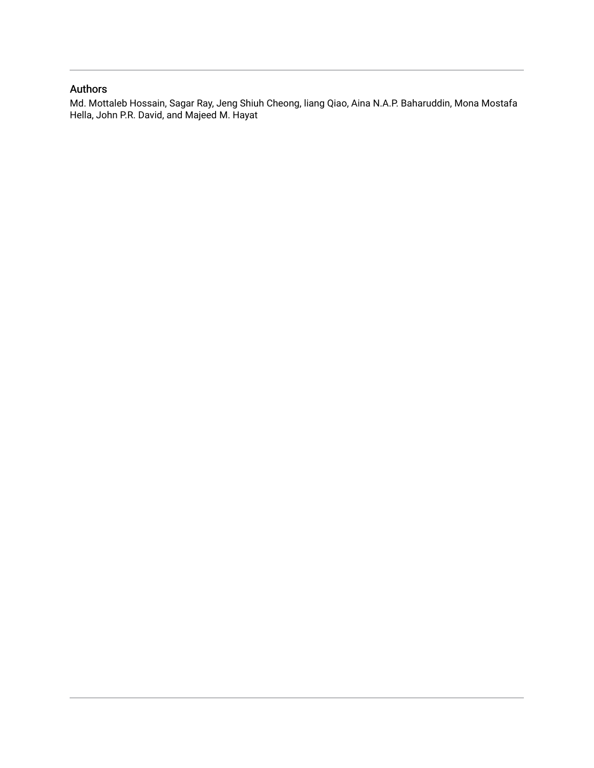#### Authors

Md. Mottaleb Hossain, Sagar Ray, Jeng Shiuh Cheong, liang Qiao, Aina N.A.P. Baharuddin, Mona Mostafa Hella, John P.R. David, and Majeed M. Hayat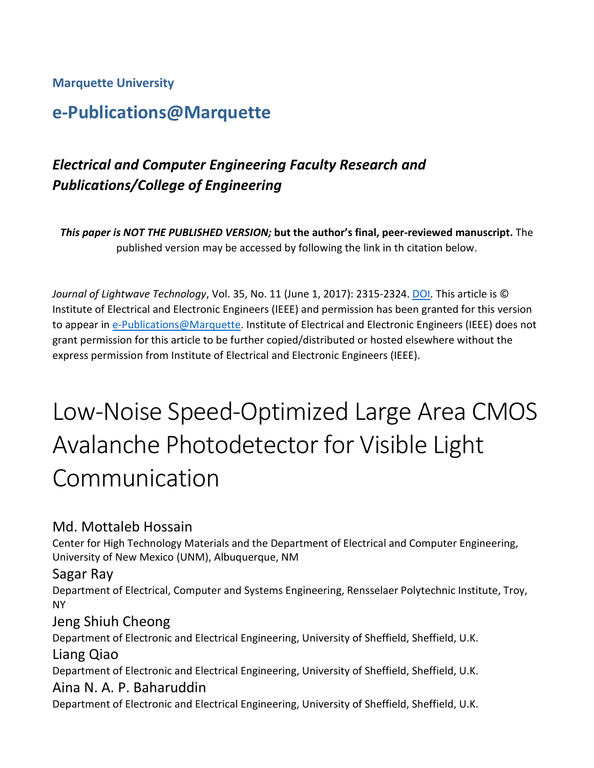#### **Marquette University**

# **e-Publications@Marquette**

## *Electrical and Computer Engineering Faculty Research and Publications/College of Engineering*

*This paper is NOT THE PUBLISHED VERSION;* **but the author's final, peer-reviewed manuscript.** The published version may be accessed by following the link in th citation below.

*Journal of Lightwave Technology*, Vol. 35, No. 11 (June 1, 2017): 2315-2324. [DOI.](https://doi.org/10.1109/JLT.2017.2687822) This article is © Institute of Electrical and Electronic Engineers (IEEE) and permission has been granted for this version to appear in [e-Publications@Marquette.](http://epublications.marquette.edu/) Institute of Electrical and Electronic Engineers (IEEE) does not grant permission for this article to be further copied/distributed or hosted elsewhere without the express permission from Institute of Electrical and Electronic Engineers (IEEE).

# Low-Noise Speed-Optimized Large Area CMOS Avalanche Photodetector for Visible Light Communication

## Md. Mottaleb Hossain

Center for High Technology Materials and the Department of Electrical and Computer Engineering, University of New Mexico (UNM), Albuquerque, NM

#### Sagar Ray

Department of Electrical, Computer and Systems Engineering, Rensselaer Polytechnic Institute, Troy, NY

#### Jeng Shiuh Cheong

Department of Electronic and Electrical Engineering, University of Sheffield, Sheffield, U.K.

## Liang Qiao

Department of Electronic and Electrical Engineering, University of Sheffield, Sheffield, U.K.

#### Aina N. A. P. Baharuddin

Department of Electronic and Electrical Engineering, University of Sheffield, Sheffield, U.K.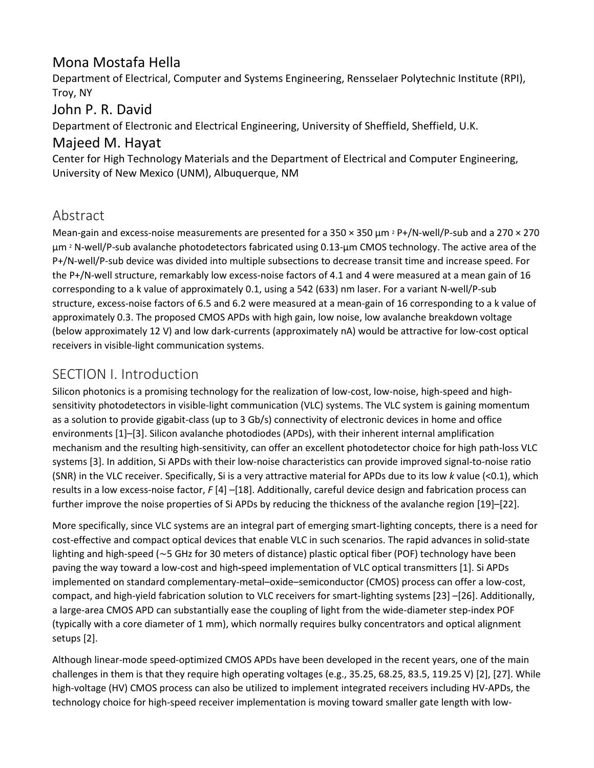## Mona Mostafa Hella

Department of Electrical, Computer and Systems Engineering, Rensselaer Polytechnic Institute (RPI), Troy, NY

## John P. R. David

Department of Electronic and Electrical Engineering, University of Sheffield, Sheffield, U.K.

## Majeed M. Hayat

Center for High Technology Materials and the Department of Electrical and Computer Engineering, University of New Mexico (UNM), Albuquerque, NM

## Abstract

Mean-gain and excess-noise measurements are presented for a  $350 \times 350$  µm  $\text{2}$  P+/N-well/P-sub and a  $270 \times 270$ μm <sup>2</sup> N-well/P-sub avalanche photodetectors fabricated using 0.13-μm CMOS technology. The active area of the P+/N-well/P-sub device was divided into multiple subsections to decrease transit time and increase speed. For the P+/N-well structure, remarkably low excess-noise factors of 4.1 and 4 were measured at a mean gain of 16 corresponding to a k value of approximately 0.1, using a 542 (633) nm laser. For a variant N-well/P-sub structure, excess-noise factors of 6.5 and 6.2 were measured at a mean-gain of 16 corresponding to a k value of approximately 0.3. The proposed CMOS APDs with high gain, low noise, low avalanche breakdown voltage (below approximately 12 V) and low dark-currents (approximately nA) would be attractive for low-cost optical receivers in visible-light communication systems.

## SECTION I. Introduction

Silicon photonics is a promising technology for the realization of low-cost, low-noise, high-speed and highsensitivity photodetectors in visible-light communication (VLC) systems. The VLC system is gaining momentum as a solution to provide gigabit-class (up to 3 Gb/s) connectivity of electronic devices in home and office environments [1]–[3]. Silicon avalanche photodiodes (APDs), with their inherent internal amplification mechanism and the resulting high-sensitivity, can offer an excellent photodetector choice for high path-loss VLC systems [3]. In addition, Si APDs with their low-noise characteristics can provide improved signal-to-noise ratio (SNR) in the VLC receiver. Specifically, Si is a very attractive material for APDs due to its low *k* value (<0.1), which results in a low excess-noise factor, *F* [4] –[18]. Additionally, careful device design and fabrication process can further improve the noise properties of Si APDs by reducing the thickness of the avalanche region [19]–[22].

More specifically, since VLC systems are an integral part of emerging smart-lighting concepts, there is a need for cost-effective and compact optical devices that enable VLC in such scenarios. The rapid advances in solid-state lighting and high-speed (∼5 GHz for 30 meters of distance) plastic optical fiber (POF) technology have been paving the way toward a low-cost and high**-**speed implementation of VLC optical transmitters [1]. Si APDs implemented on standard complementary-metal–oxide–semiconductor (CMOS) process can offer a low-cost, compact, and high-yield fabrication solution to VLC receivers for smart-lighting systems [23] –[26]. Additionally, a large-area CMOS APD can substantially ease the coupling of light from the wide-diameter step-index POF (typically with a core diameter of 1 mm), which normally requires bulky concentrators and optical alignment setups [2].

Although linear-mode speed-optimized CMOS APDs have been developed in the recent years, one of the main challenges in them is that they require high operating voltages (e.g., 35.25, 68.25, 83.5, 119.25 V) [2], [27]. While high-voltage (HV) CMOS process can also be utilized to implement integrated receivers including HV-APDs, the technology choice for high-speed receiver implementation is moving toward smaller gate length with low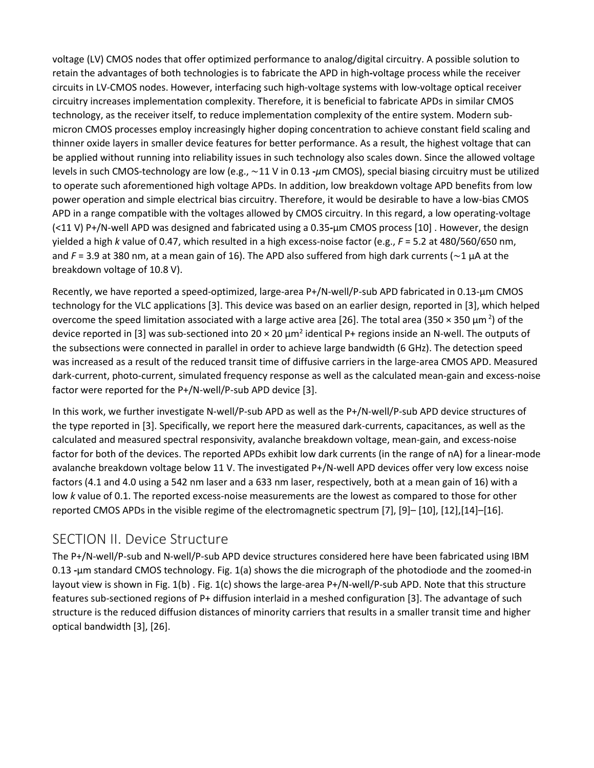voltage (LV) CMOS nodes that offer optimized performance to analog/digital circuitry. A possible solution to retain the advantages of both technologies is to fabricate the APD in high**-**voltage process while the receiver circuits in LV-CMOS nodes. However, interfacing such high-voltage systems with low-voltage optical receiver circuitry increases implementation complexity. Therefore, it is beneficial to fabricate APDs in similar CMOS technology, as the receiver itself, to reduce implementation complexity of the entire system. Modern submicron CMOS processes employ increasingly higher doping concentration to achieve constant field scaling and thinner oxide layers in smaller device features for better performance. As a result, the highest voltage that can be applied without running into reliability issues in such technology also scales down. Since the allowed voltage levels in such CMOS-technology are low (e.g., ∼11 V in 0.13 **-***μ*m CMOS), special biasing circuitry must be utilized to operate such aforementioned high voltage APDs. In addition, low breakdown voltage APD benefits from low power operation and simple electrical bias circuitry. Therefore, it would be desirable to have a low-bias CMOS APD in a range compatible with the voltages allowed by CMOS circuitry. In this regard, a low operating-voltage (<11 V) P+/N-well APD was designed and fabricated using a 0.35*-*μm CMOS process [10] . However, the design yielded a high *k* value of 0.47, which resulted in a high excess-noise factor (e.g., *F* = 5.2 at 480/560/650 nm, and *F* = 3.9 at 380 nm, at a mean gain of 16). The APD also suffered from high dark currents (∼1 μA at the breakdown voltage of 10.8 V).

Recently, we have reported a speed-optimized, large-area P+/N-well/P-sub APD fabricated in 0.13-μm CMOS technology for the VLC applications [3]. This device was based on an earlier design, reported in [3], which helped overcome the speed limitation associated with a large active area [26]. The total area (350  $\times$  350  $\mu$ m<sup>2</sup>) of the device reported in [3] was sub-sectioned into  $20 \times 20 \mu m^2$  identical P+ regions inside an N-well. The outputs of the subsections were connected in parallel in order to achieve large bandwidth (6 GHz). The detection speed was increased as a result of the reduced transit time of diffusive carriers in the large-area CMOS APD. Measured dark-current, photo-current, simulated frequency response as well as the calculated mean-gain and excess-noise factor were reported for the P+/N-well/P-sub APD device [3].

In this work, we further investigate N-well/P-sub APD as well as the P+/N-well/P-sub APD device structures of the type reported in [3]. Specifically, we report here the measured dark-currents, capacitances, as well as the calculated and measured spectral responsivity, avalanche breakdown voltage, mean-gain, and excess-noise factor for both of the devices. The reported APDs exhibit low dark currents (in the range of nA) for a linear-mode avalanche breakdown voltage below 11 V. The investigated P+/N-well APD devices offer very low excess noise factors (4.1 and 4.0 using a 542 nm laser and a 633 nm laser, respectively, both at a mean gain of 16) with a low *k* value of 0.1. The reported excess-noise measurements are the lowest as compared to those for other reported CMOS APDs in the visible regime of the electromagnetic spectrum [7], [9]– [10], [12],[14]–[16].

## SECTION II. Device Structure

The P+/N-well/P-sub and N-well/P-sub APD device structures considered here have been fabricated using IBM 0.13 **-**μm standard CMOS technology. Fig. 1(a) shows the die micrograph of the photodiode and the zoomed-in layout view is shown in Fig. 1(b) . Fig. 1(c) shows the large-area P+/N-well/P-sub APD. Note that this structure features sub-sectioned regions of P+ diffusion interlaid in a meshed configuration [3]. The advantage of such structure is the reduced diffusion distances of minority carriers that results in a smaller transit time and higher optical bandwidth [3], [26].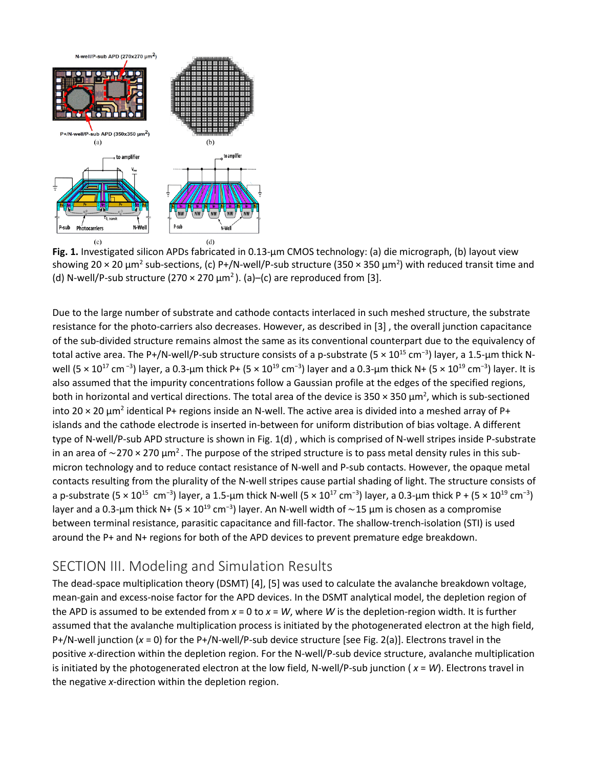

**Fig. 1.** Investigated silicon APDs fabricated in 0.13-μm CMOS technology: (a) die micrograph, (b) layout view showing 20  $\times$  20  $\mu$ m<sup>2</sup> sub-sections, (c) P+/N-well/P-sub structure (350  $\times$  350  $\mu$ m<sup>2</sup>) with reduced transit time and (d) N-well/P-sub structure (270  $\times$  270  $\mu$ m<sup>2</sup>). (a)–(c) are reproduced from [3].

Due to the large number of substrate and cathode contacts interlaced in such meshed structure, the substrate resistance for the photo-carriers also decreases. However, as described in [3] , the overall junction capacitance of the sub-divided structure remains almost the same as its conventional counterpart due to the equivalency of total active area. The P+/N-well/P-sub structure consists of a p-substrate (5 × 10<sup>15</sup> cm<sup>−3</sup>) layer, a 1.5-μm thick Nwell (5 × 10<sup>17</sup> cm<sup>-3</sup>) layer, a 0.3-μm thick P+ (5 × 10<sup>19</sup> cm<sup>-3</sup>) layer and a 0.3-μm thick N+ (5 × 10<sup>19</sup> cm<sup>-3</sup>) layer. It is also assumed that the impurity concentrations follow a Gaussian profile at the edges of the specified regions, both in horizontal and vertical directions. The total area of the device is 350  $\times$  350  $\mu$ m<sup>2</sup>, which is sub-sectioned into 20  $\times$  20  $\mu$ m<sup>2</sup> identical P+ regions inside an N-well. The active area is divided into a meshed array of P+ islands and the cathode electrode is inserted in-between for uniform distribution of bias voltage. A different type of N-well/P-sub APD structure is shown in Fig. 1(d) , which is comprised of N-well stripes inside P-substrate in an area of ∼270 × 270  $\mu$ m<sup>2</sup>. The purpose of the striped structure is to pass metal density rules in this submicron technology and to reduce contact resistance of N-well and P-sub contacts. However, the opaque metal contacts resulting from the plurality of the N-well stripes cause partial shading of light. The structure consists of a p-substrate (5 × 10<sup>15</sup> cm<sup>−3</sup>) layer, a 1.5-µm thick N-well (5 × 10<sup>17</sup> cm<sup>−3</sup>) layer, a 0.3-µm thick P + (5 × 10<sup>19</sup> cm<sup>−3</sup>) layer and a 0.3-μm thick N+ (5 × 10<sup>19</sup> cm<sup>−3</sup>) layer. An N-well width of ~15 μm is chosen as a compromise between terminal resistance, parasitic capacitance and fill-factor. The shallow-trench-isolation (STI) is used around the P+ and N+ regions for both of the APD devices to prevent premature edge breakdown.

## SECTION III. Modeling and Simulation Results

The dead-space multiplication theory (DSMT) [4], [5] was used to calculate the avalanche breakdown voltage, mean-gain and excess-noise factor for the APD devices. In the DSMT analytical model, the depletion region of the APD is assumed to be extended from *x* = 0 to *x* = *W*, where *W* is the depletion-region width. It is further assumed that the avalanche multiplication process is initiated by the photogenerated electron at the high field, P+/N-well junction (*x* = 0) for the P+/N-well/P-sub device structure [see Fig. 2(a)]. Electrons travel in the positive *x*-direction within the depletion region. For the N-well/P-sub device structure, avalanche multiplication is initiated by the photogenerated electron at the low field, N-well/P-sub junction ( *x* = *W*). Electrons travel in the negative *x*-direction within the depletion region.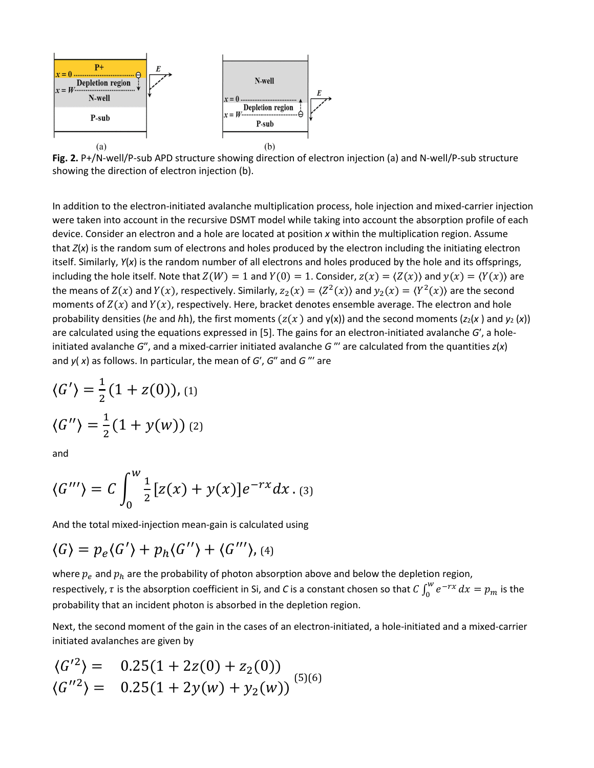

**Fig. 2.** P+/N-well/P-sub APD structure showing direction of electron injection (a) and N-well/P-sub structure showing the direction of electron injection (b).

In addition to the electron-initiated avalanche multiplication process, hole injection and mixed-carrier injection were taken into account in the recursive DSMT model while taking into account the absorption profile of each device. Consider an electron and a hole are located at position *x* within the multiplication region. Assume that *Z*(*x*) is the random sum of electrons and holes produced by the electron including the initiating electron itself. Similarly, *Y*(*x*) is the random number of all electrons and holes produced by the hole and its offsprings, including the hole itself. Note that  $Z(W) = 1$  and  $Y(0) = 1$ . Consider,  $Z(x) = \langle Z(x) \rangle$  and  $y(x) = \langle Y(x) \rangle$  are the means of  $Z(x)$  and  $Y(x)$ , respectively. Similarly,  $z_2(x) = \langle Z^2(x) \rangle$  and  $y_2(x) = \langle Y^2(x) \rangle$  are the second moments of  $Z(x)$  and  $Y(x)$ , respectively. Here, bracket denotes ensemble average. The electron and hole probability densities (*he and hh*), the first moments ( $z(x)$  and  $y(x)$ ) and the second moments ( $z_2(x)$  and  $y_2(x)$ ) are calculated using the equations expressed in [5]. The gains for an electron-initiated avalanche *G*′, a holeinitiated avalanche *G*″, and a mixed-carrier initiated avalanche *G* ″′ are calculated from the quantities *z*(*x*) and *y*( *x*) as follows. In particular, the mean of *G*′, *G*″ and *G* ″′ are

$$
\langle G' \rangle = \frac{1}{2} (1 + z(0)), \text{(1)}
$$

$$
\langle G'' \rangle = \frac{1}{2} (1 + y(w)) \text{ (2)}
$$

and

$$
\langle G'''\rangle = C \int_0^W \frac{1}{2} [z(x) + y(x)] e^{-rx} dx
$$
 (3)

And the total mixed-injection mean-gain is calculated using

$$
\langle G \rangle = p_e \langle G' \rangle + p_h \langle G'' \rangle + \langle G''' \rangle, \text{(4)}
$$

where  $p_e$  and  $p_h$  are the probability of photon absorption above and below the depletion region, respectively,  $\tau$  is the absorption coefficient in Si, and *C* is a constant chosen so that  $C\int_0^w e^{-rx}\,dx=p_m$  is the probability that an incident photon is absorbed in the depletion region.

Next, the second moment of the gain in the cases of an electron-initiated, a hole-initiated and a mixed-carrier initiated avalanches are given by

$$
\langle G'^2 \rangle = 0.25(1 + 2z(0) + z_2(0))
$$
  

$$
\langle G''^2 \rangle = 0.25(1 + 2y(w) + y_2(w))
$$
<sup>(5)(6)</sup>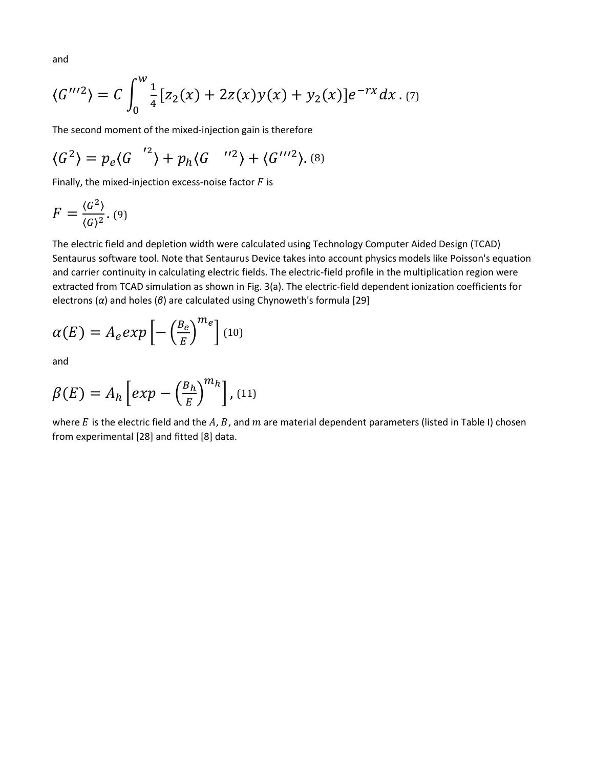and

$$
\langle G'''^2 \rangle = C \int_0^w \frac{1}{4} [z_2(x) + 2z(x)y(x) + y_2(x)] e^{-rx} dx
$$
 (7)

The second moment of the mixed-injection gain is therefore

$$
\langle G^2 \rangle = p_e \langle G \, \vert^{2} \rangle + p_h \langle G \, \vert^{2} \rangle + \langle G \, \vert^{2} \rangle. \tag{8}
$$

Finally, the mixed-injection excess-noise factor  $F$  is

$$
F = \frac{\langle G^2 \rangle}{\langle G \rangle^2}.
$$
 (9)

The electric field and depletion width were calculated using Technology Computer Aided Design (TCAD) Sentaurus software tool. Note that Sentaurus Device takes into account physics models like Poisson's equation and carrier continuity in calculating electric fields. The electric-field profile in the multiplication region were extracted from TCAD simulation as shown in Fig. 3(a). The electric-field dependent ionization coefficients for electrons (*α*) and holes (*β*) are calculated using Chynoweth's formula [29]

$$
\alpha(E) = A_e exp\left[-\left(\frac{B_e}{E}\right)^{m_e}\right] (10)
$$

and

$$
\beta(E) = A_h \left[ exp - \left( \frac{B_h}{E} \right)^{m_h} \right], \text{(11)}
$$

where  $E$  is the electric field and the  $A$ ,  $B$ , and  $m$  are material dependent parameters (listed in Table I) chosen from experimental [28] and fitted [8] data.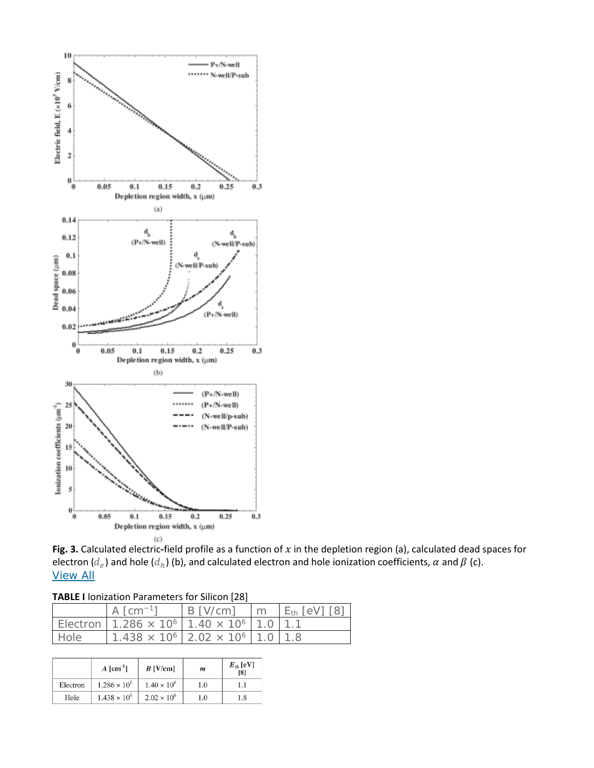

Fig. 3. Calculated electric-field profile as a function of  $x$  in the depletion region (a), calculated dead spaces for electron ( $d_e$ ) and hole ( $d_h$ ) (b), and calculated electron and hole ionization coefficients,  $\alpha$  and  $\beta$  (c). [View All](https://ieeexplore.ieee.org/document/7887669/all-figures)

| <b>TABLE I</b> Ionization Parameters for Silicon [28] |  |  |
|-------------------------------------------------------|--|--|
|-------------------------------------------------------|--|--|

|      | A $\lceil$ cm <sup>-1</sup> ]                                                         | $B$ [V/cm] | $\mathsf{m}$ | $E_{\text{th}}$ [eV] [8] |
|------|---------------------------------------------------------------------------------------|------------|--------------|--------------------------|
|      | Electron   1.286 $\times$ 10 <sup>6</sup>   1.40 $\times$ 10 <sup>6</sup>   1.0   1.1 |            |              |                          |
| Hole | $1.438 \times 10^{6}$ 2.02 $\times$ 10 <sup>6</sup> 1.0 1.8                           |            |              |                          |

|          | $A$ [cm <sup>-1</sup> ] | $B$ [V/cm]           | $\boldsymbol{m}$ | $E_{th}$ [eV]<br>[8] |
|----------|-------------------------|----------------------|------------------|----------------------|
| Electron | $1.286 \times 10^{6}$   | $1.40 \times 10^{6}$ | 1.0              |                      |
| Hole     | $1.438 \times 10^{6}$   | $2.02 \times 10^{6}$ | 1.0              | 1.8                  |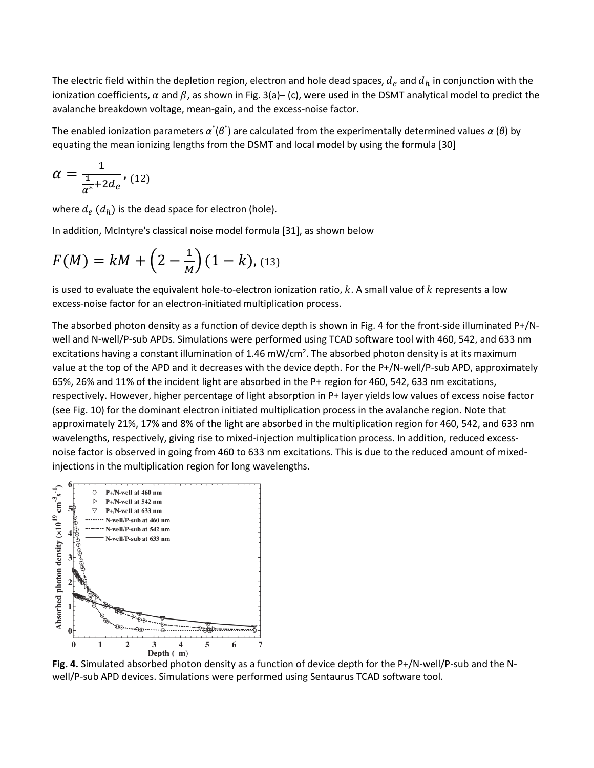The electric field within the depletion region, electron and hole dead spaces,  $d_e$  and  $d_h$  in conjunction with the ionization coefficients,  $\alpha$  and  $\beta$ , as shown in Fig. 3(a)– (c), were used in the DSMT analytical model to predict the avalanche breakdown voltage, mean-gain, and the excess-noise factor.

The enabled ionization parameters  $\alpha^*(\beta^*)$  are calculated from the experimentally determined values  $\alpha$  (*β*) by equating the mean ionizing lengths from the DSMT and local model by using the formula [30]

$$
\alpha = \frac{1}{\frac{1}{\alpha^*} + 2d_e},
$$
 (12)

where  $d_e$  ( $d_h$ ) is the dead space for electron (hole).

In addition, McIntyre's classical noise model formula [31], as shown below

$$
F(M) = kM + \left(2 - \frac{1}{M}\right)(1 - k), \text{(13)}
$$

is used to evaluate the equivalent hole-to-electron ionization ratio,  $k$ . A small value of  $k$  represents a low excess-noise factor for an electron-initiated multiplication process.

The absorbed photon density as a function of device depth is shown in Fig. 4 for the front-side illuminated P+/Nwell and N-well/P-sub APDs. Simulations were performed using TCAD software tool with 460, 542, and 633 nm excitations having a constant illumination of 1.46 mW/cm<sup>2</sup>. The absorbed photon density is at its maximum value at the top of the APD and it decreases with the device depth. For the P+/N-well/P-sub APD, approximately 65%, 26% and 11% of the incident light are absorbed in the P+ region for 460, 542, 633 nm excitations, respectively. However, higher percentage of light absorption in P+ layer yields low values of excess noise factor (see Fig. 10) for the dominant electron initiated multiplication process in the avalanche region. Note that approximately 21%, 17% and 8% of the light are absorbed in the multiplication region for 460, 542, and 633 nm wavelengths, respectively, giving rise to mixed-injection multiplication process. In addition, reduced excessnoise factor is observed in going from 460 to 633 nm excitations. This is due to the reduced amount of mixedinjections in the multiplication region for long wavelengths.



**Fig. 4.** Simulated absorbed photon density as a function of device depth for the P+/N-well/P-sub and the Nwell/P-sub APD devices. Simulations were performed using Sentaurus TCAD software tool.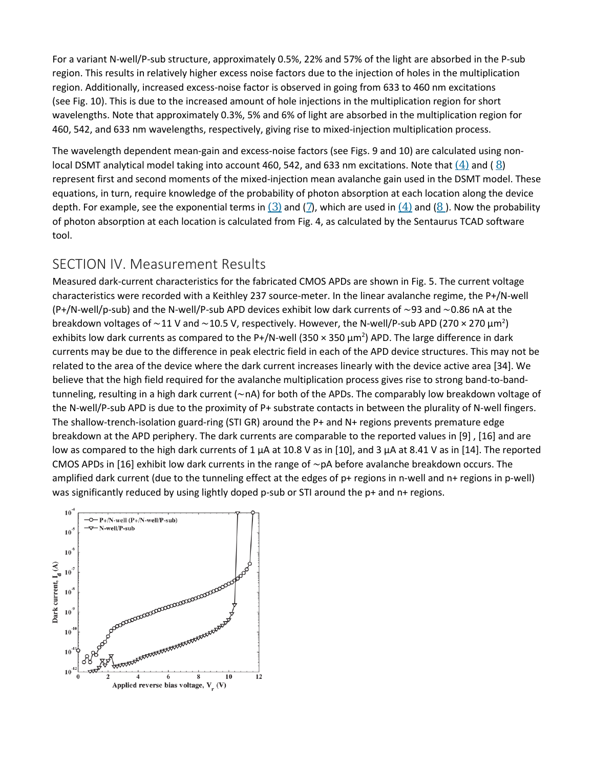For a variant N-well/P-sub structure, approximately 0.5%, 22% and 57% of the light are absorbed in the P-sub region. This results in relatively higher excess noise factors due to the injection of holes in the multiplication region. Additionally, increased excess-noise factor is observed in going from 633 to 460 nm excitations (see Fig. 10). This is due to the increased amount of hole injections in the multiplication region for short wavelengths. Note that approximately 0.3%, 5% and 6% of light are absorbed in the multiplication region for 460, 542, and 633 nm wavelengths, respectively, giving rise to mixed-injection multiplication process.

The wavelength dependent mean-gain and excess-noise factors (see Figs. 9 and 10) are calculated using nonlocal DSMT analytical model taking into account 460, 542, and 633 nm excitations. Note that  $(4)$  and ( $8$ ) represent first and second moments of the mixed-injection mean avalanche gain used in the DSMT model. These equations, in turn, require knowledge of the probability of photon absorption at each location along the device depth. For example, see the exponential terms in  $(3)$  and  $(7)$  $(7)$  $(7)$ , which are used in  $(4)$  and  $(8)$  $(8)$  $(8)$ . Now the probability of photon absorption at each location is calculated from Fig. 4, as calculated by the Sentaurus TCAD software tool.

## SECTION IV. Measurement Results

Measured dark-current characteristics for the fabricated CMOS APDs are shown in Fig. 5. The current voltage characteristics were recorded with a Keithley 237 source-meter. In the linear avalanche regime, the P+/N-well (P+/N-well/p-sub) and the N-well/P-sub APD devices exhibit low dark currents of ∼93 and ∼0.86 nA at the breakdown voltages of ~11 V and ~10.5 V, respectively. However, the N-well/P-sub APD (270 × 270 μm<sup>2</sup>) exhibits low dark currents as compared to the P+/N-well (350  $\times$  350  $\mu$ m<sup>2</sup>) APD. The large difference in dark currents may be due to the difference in peak electric field in each of the APD device structures. This may not be related to the area of the device where the dark current increases linearly with the device active area [34]. We believe that the high field required for the avalanche multiplication process gives rise to strong band-to-bandtunneling, resulting in a high dark current (∼nA) for both of the APDs. The comparably low breakdown voltage of the N-well/P-sub APD is due to the proximity of P+ substrate contacts in between the plurality of N-well fingers. The shallow-trench-isolation guard-ring (STI GR) around the P+ and N+ regions prevents premature edge breakdown at the APD periphery. The dark currents are comparable to the reported values in [9] , [16] and are low as compared to the high dark currents of 1 μA at 10.8 V as in [10], and 3 μA at 8.41 V as in [14]. The reported CMOS APDs in [16] exhibit low dark currents in the range of ∼pA before avalanche breakdown occurs. The amplified dark current (due to the tunneling effect at the edges of p+ regions in n-well and n+ regions in p-well) was significantly reduced by using lightly doped p-sub or STI around the p+ and n+ regions.

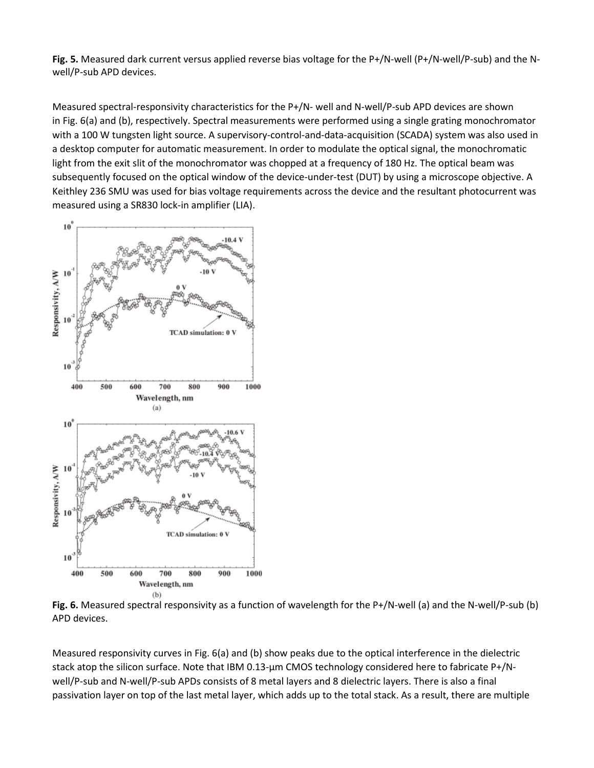**Fig. 5.** Measured dark current versus applied reverse bias voltage for the P+/N-well (P+/N-well/P-sub) and the Nwell/P-sub APD devices.

Measured spectral-responsivity characteristics for the P+/N- well and N-well/P-sub APD devices are shown in Fig. 6(a) and (b), respectively. Spectral measurements were performed using a single grating monochromator with a 100 W tungsten light source. A supervisory-control-and-data-acquisition (SCADA) system was also used in a desktop computer for automatic measurement. In order to modulate the optical signal, the monochromatic light from the exit slit of the monochromator was chopped at a frequency of 180 Hz. The optical beam was subsequently focused on the optical window of the device-under-test (DUT) by using a microscope objective. A Keithley 236 SMU was used for bias voltage requirements across the device and the resultant photocurrent was measured using a SR830 lock-in amplifier (LIA).



**Fig. 6.** Measured spectral responsivity as a function of wavelength for the P+/N-well (a) and the N-well/P-sub (b) APD devices.

Measured responsivity curves in Fig. 6(a) and (b) show peaks due to the optical interference in the dielectric stack atop the silicon surface. Note that IBM 0.13-μm CMOS technology considered here to fabricate P+/Nwell/P-sub and N-well/P-sub APDs consists of 8 metal layers and 8 dielectric layers. There is also a final passivation layer on top of the last metal layer, which adds up to the total stack. As a result, there are multiple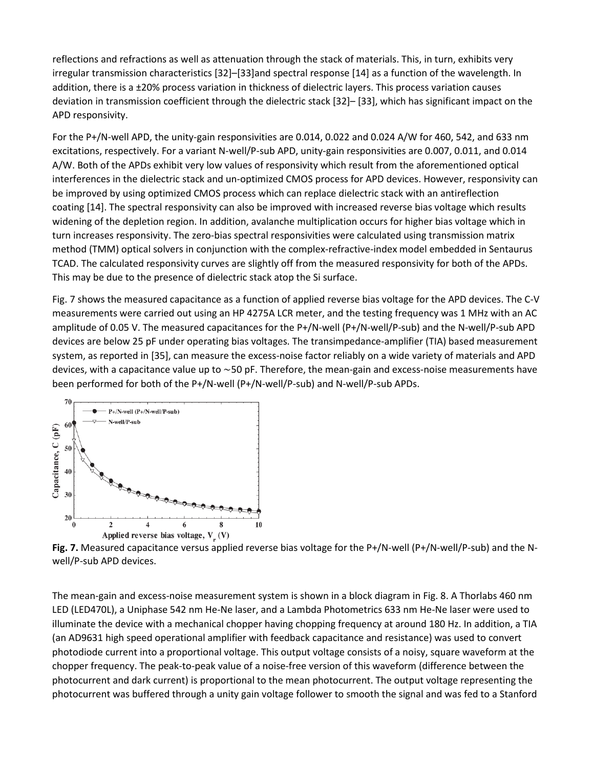reflections and refractions as well as attenuation through the stack of materials. This, in turn, exhibits very irregular transmission characteristics [32]–[33]and spectral response [14] as a function of the wavelength. In addition, there is a ±20% process variation in thickness of dielectric layers. This process variation causes deviation in transmission coefficient through the dielectric stack [32]– [33], which has significant impact on the APD responsivity.

For the P+/N-well APD, the unity-gain responsivities are 0.014, 0.022 and 0.024 A/W for 460, 542, and 633 nm excitations, respectively. For a variant N-well/P-sub APD, unity-gain responsivities are 0.007, 0.011, and 0.014 A/W. Both of the APDs exhibit very low values of responsivity which result from the aforementioned optical interferences in the dielectric stack and un-optimized CMOS process for APD devices. However, responsivity can be improved by using optimized CMOS process which can replace dielectric stack with an antireflection coating [14]. The spectral responsivity can also be improved with increased reverse bias voltage which results widening of the depletion region. In addition, avalanche multiplication occurs for higher bias voltage which in turn increases responsivity. The zero-bias spectral responsivities were calculated using transmission matrix method (TMM) optical solvers in conjunction with the complex-refractive-index model embedded in Sentaurus TCAD. The calculated responsivity curves are slightly off from the measured responsivity for both of the APDs. This may be due to the presence of dielectric stack atop the Si surface.

Fig. 7 shows the measured capacitance as a function of applied reverse bias voltage for the APD devices. The C-V measurements were carried out using an HP 4275A LCR meter, and the testing frequency was 1 MHz with an AC amplitude of 0.05 V. The measured capacitances for the P+/N-well (P+/N-well/P-sub) and the N-well/P-sub APD devices are below 25 pF under operating bias voltages. The transimpedance-amplifier (TIA) based measurement system, as reported in [35], can measure the excess-noise factor reliably on a wide variety of materials and APD devices, with a capacitance value up to ∼50 pF. Therefore, the mean-gain and excess-noise measurements have been performed for both of the P+/N-well (P+/N-well/P-sub) and N-well/P-sub APDs.



**Fig. 7.** Measured capacitance versus applied reverse bias voltage for the P+/N-well (P+/N-well/P-sub) and the Nwell/P-sub APD devices.

The mean-gain and excess-noise measurement system is shown in a block diagram in Fig. 8. A Thorlabs 460 nm LED (LED470L), a Uniphase 542 nm He-Ne laser, and a Lambda Photometrics 633 nm He-Ne laser were used to illuminate the device with a mechanical chopper having chopping frequency at around 180 Hz. In addition, a TIA (an AD9631 high speed operational amplifier with feedback capacitance and resistance) was used to convert photodiode current into a proportional voltage. This output voltage consists of a noisy, square waveform at the chopper frequency. The peak-to-peak value of a noise-free version of this waveform (difference between the photocurrent and dark current) is proportional to the mean photocurrent. The output voltage representing the photocurrent was buffered through a unity gain voltage follower to smooth the signal and was fed to a Stanford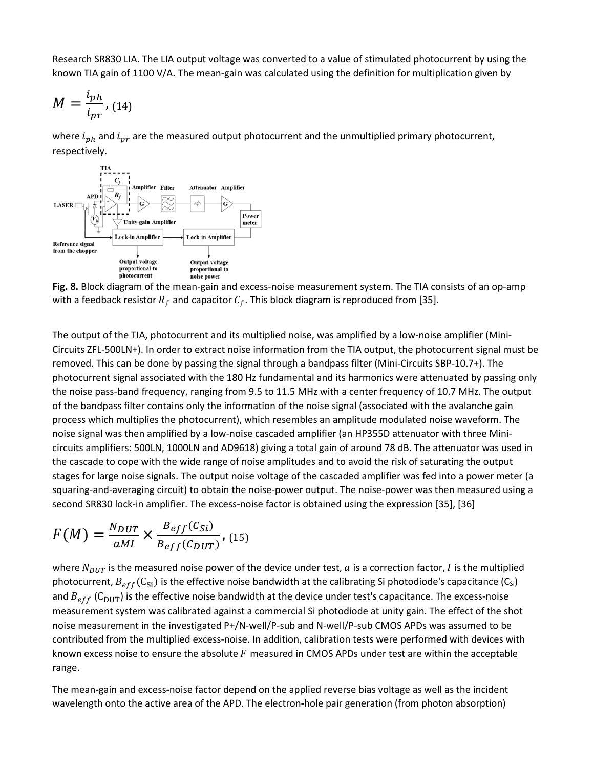Research SR830 LIA. The LIA output voltage was converted to a value of stimulated photocurrent by using the known TIA gain of 1100 V/A. The mean-gain was calculated using the definition for multiplication given by

$$
M=\frac{i_{ph}}{i_{pr}},
$$
 (14)

where  $i_{ph}$  and  $i_{pr}$  are the measured output photocurrent and the unmultiplied primary photocurrent, respectively.



**Fig. 8.** Block diagram of the mean-gain and excess-noise measurement system. The TIA consists of an op-amp with a feedback resistor  $R_f$  and capacitor  $C_f$ . This block diagram is reproduced from [35].

The output of the TIA, photocurrent and its multiplied noise, was amplified by a low-noise amplifier (Mini-Circuits ZFL-500LN+). In order to extract noise information from the TIA output, the photocurrent signal must be removed. This can be done by passing the signal through a bandpass filter (Mini-Circuits SBP-10.7+). The photocurrent signal associated with the 180 Hz fundamental and its harmonics were attenuated by passing only the noise pass-band frequency, ranging from 9.5 to 11.5 MHz with a center frequency of 10.7 MHz. The output of the bandpass filter contains only the information of the noise signal (associated with the avalanche gain process which multiplies the photocurrent), which resembles an amplitude modulated noise waveform. The noise signal was then amplified by a low-noise cascaded amplifier (an HP355D attenuator with three Minicircuits amplifiers: 500LN, 1000LN and AD9618) giving a total gain of around 78 dB. The attenuator was used in the cascade to cope with the wide range of noise amplitudes and to avoid the risk of saturating the output stages for large noise signals. The output noise voltage of the cascaded amplifier was fed into a power meter (a squaring-and-averaging circuit) to obtain the noise-power output. The noise-power was then measured using a second SR830 lock-in amplifier. The excess-noise factor is obtained using the expression [35], [36]

$$
F(M) = \frac{N_{DUT}}{aMI} \times \frac{B_{eff}(C_{Si})}{B_{eff}(C_{DUT})},
$$
 (15)

where  $N_{DUT}$  is the measured noise power of the device under test, a is a correction factor, I is the multiplied photocurrent,  $B_{eff}(C_{Si})$  is the effective noise bandwidth at the calibrating Si photodiode's capacitance (C<sub>Si</sub>) and  $B_{eff}$  (C<sub>DUT</sub>) is the effective noise bandwidth at the device under test's capacitance. The excess-noise measurement system was calibrated against a commercial Si photodiode at unity gain. The effect of the shot noise measurement in the investigated P+/N-well/P-sub and N-well/P-sub CMOS APDs was assumed to be contributed from the multiplied excess-noise. In addition, calibration tests were performed with devices with known excess noise to ensure the absolute  $F$  measured in CMOS APDs under test are within the acceptable range.

The mean**-**gain and excess**-**noise factor depend on the applied reverse bias voltage as well as the incident wavelength onto the active area of the APD. The electron**-**hole pair generation (from photon absorption)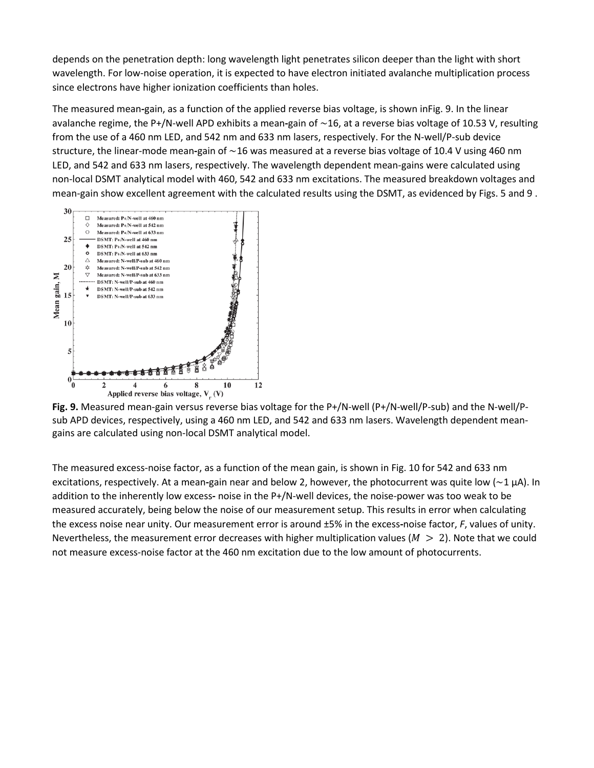depends on the penetration depth: long wavelength light penetrates silicon deeper than the light with short wavelength. For low-noise operation, it is expected to have electron initiated avalanche multiplication process since electrons have higher ionization coefficients than holes.

The measured mean**-**gain, as a function of the applied reverse bias voltage, is shown inFig. 9. In the linear avalanche regime, the P+/N-well APD exhibits a mean**-**gain of ∼16, at a reverse bias voltage of 10.53 V, resulting from the use of a 460 nm LED, and 542 nm and 633 nm lasers, respectively. For the N-well/P-sub device structure, the linear-mode mean**-**gain of ∼16 was measured at a reverse bias voltage of 10.4 V using 460 nm LED, and 542 and 633 nm lasers, respectively. The wavelength dependent mean-gains were calculated using non-local DSMT analytical model with 460, 542 and 633 nm excitations. The measured breakdown voltages and mean-gain show excellent agreement with the calculated results using the DSMT, as evidenced by Figs. 5 and 9 .



**Fig. 9.** Measured mean-gain versus reverse bias voltage for the P+/N-well (P+/N-well/P-sub) and the N-well/Psub APD devices, respectively, using a 460 nm LED, and 542 and 633 nm lasers. Wavelength dependent meangains are calculated using non-local DSMT analytical model.

The measured excess-noise factor, as a function of the mean gain, is shown in Fig. 10 for 542 and 633 nm excitations, respectively. At a mean**-**gain near and below 2, however, the photocurrent was quite low (∼1 μA). In addition to the inherently low excess**-** noise in the P+/N-well devices, the noise-power was too weak to be measured accurately, being below the noise of our measurement setup. This results in error when calculating the excess noise near unity. Our measurement error is around ±5% in the excess**-**noise factor, *F*, values of unity. Nevertheless, the measurement error decreases with higher multiplication values ( $M > 2$ ). Note that we could not measure excess-noise factor at the 460 nm excitation due to the low amount of photocurrents.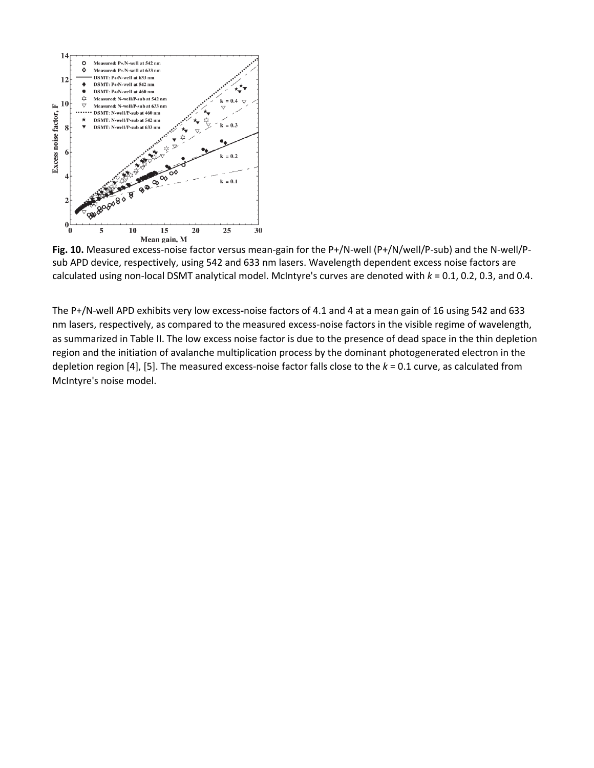

**Fig. 10.** Measured excess-noise factor versus mean-gain for the P+/N-well (P+/N/well/P-sub) and the N-well/Psub APD device, respectively, using 542 and 633 nm lasers. Wavelength dependent excess noise factors are calculated using non-local DSMT analytical model. McIntyre's curves are denoted with *k* = 0.1, 0.2, 0.3, and 0.4.

The P+/N-well APD exhibits very low excess**-**noise factors of 4.1 and 4 at a mean gain of 16 using 542 and 633 nm lasers, respectively, as compared to the measured excess-noise factors in the visible regime of wavelength, as summarized in Table II. The low excess noise factor is due to the presence of dead space in the thin depletion region and the initiation of avalanche multiplication process by the dominant photogenerated electron in the depletion region [4], [5]. The measured excess-noise factor falls close to the *k* = 0.1 curve, as calculated from McIntyre's noise model.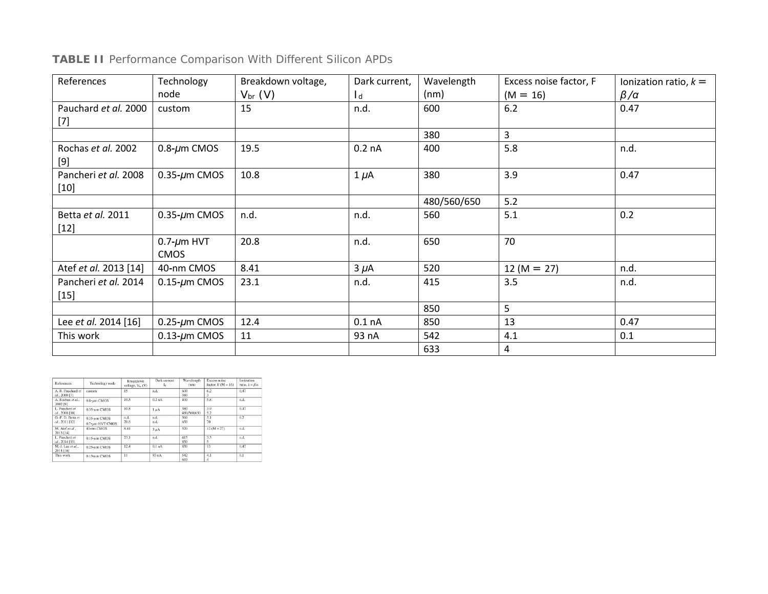## **TABLE II** Performance Comparison With Different Silicon APDs

| References                     | Technology                       | Breakdown voltage, | Dark current,     | Wavelength  | Excess noise factor, F | Ionization ratio, $k =$ |
|--------------------------------|----------------------------------|--------------------|-------------------|-------------|------------------------|-------------------------|
|                                | node                             | $V_{\text{br}}(V)$ | l d               | (nm)        | $(M = 16)$             | $\beta/\alpha$          |
| Pauchard et al. 2000<br>$[7]$  | custom                           | 15                 | n.d.              | 600         | 6.2                    | 0.47                    |
|                                |                                  |                    |                   | 380         | 3                      |                         |
| Rochas et al. 2002<br>[9]      | $0.8 - \mu m$ CMOS               | 19.5               | 0.2 <sub>nA</sub> | 400         | 5.8                    | n.d.                    |
| Pancheri et al. 2008<br>$[10]$ | $0.35 - \mu m$ CMOS              | 10.8               | $1 \mu A$         | 380         | 3.9                    | 0.47                    |
|                                |                                  |                    |                   | 480/560/650 | 5.2                    |                         |
| Betta et al. 2011<br>$[12]$    | $0.35 - \mu m$ CMOS              | n.d.               | n.d.              | 560         | 5.1                    | 0.2                     |
|                                | $0.7 - \mu m$ HVT<br><b>CMOS</b> | 20.8               | n.d.              | 650         | 70                     |                         |
| Atef et al. 2013 [14]          | 40-nm CMOS                       | 8.41               | $3 \mu A$         | 520         | $12 (M = 27)$          | n.d.                    |
| Pancheri et al. 2014<br>$[15]$ | $0.15$ - $\mu$ m CMOS            | 23.1               | n.d.              | 415         | 3.5                    | n.d.                    |
|                                |                                  |                    |                   | 850         | 5                      |                         |
| Lee et al. 2014 [16]           | $0.25$ - $\mu$ m CMOS            | 12.4               | 0.1 <sub>nA</sub> | 850         | 13                     | 0.47                    |
| This work                      | $0.13$ - $\mu$ m CMOS            | 11                 | 93 nA             | 542         | 4.1                    | 0.1                     |
|                                |                                  |                    |                   | 633         | 4                      |                         |

| References                          | Technology node                          | Breakdown<br>voltage, $V_{tr}$ (V) | Dark current<br>L | Wavelength<br>(nm) | Excess noise<br>factor, $F(M = 16)$ | Ionization<br>ratio, $k = \beta/\alpha$ |
|-------------------------------------|------------------------------------------|------------------------------------|-------------------|--------------------|-------------------------------------|-----------------------------------------|
| A R Pauchard et<br>al., 2000 [7]    | custom                                   | 15                                 | n.d.              | 600<br>380         | 6.2<br>3                            | 0.47                                    |
| A. Rochas et al.,<br>2002 [9]       | $0.8 - \mu$ m CMOS                       | 19.5                               | 0.2 <sub>nA</sub> | 400                | 5.8                                 | n.d.                                    |
| L. Pancheri et<br>al., 2008 [10]    | $0.35 - \mu$ m CMOS                      | 10.8                               | 1 <sub>µ</sub> A  | 380<br>480/560/650 | 3.9<br>5.2                          | 0.47                                    |
| G.-F. D. Betta et<br>al., 2011 [12] | $0.35~\text{µm}$ CMOS<br>0.7-um HVT CMOS | n.d.<br>20.8                       | n.d.<br>n.d.      | 560<br>650         | 5.1<br>70                           | 0.2                                     |
| M. Atef et al.,<br>2013 [14]        | 40-nm CMOS                               | 8.41                               | $3u$ A            | 520                | $12(M = 27)$                        | n.d.                                    |
| L. Pancheri et<br>al., 2014 [15]    | $0.15$ -um CMOS                          | 23.1                               | n.d.              | 415<br>850         | 3.5<br>5                            | n.d.                                    |
| M.-J. Lee et al<br>2014 [16]        | $0.25 - \mu$ m CMOS                      | 12.4                               | 0.1 <sub>nA</sub> | 850                | 13                                  | 0.47                                    |
| This work                           | $0.13$ - $\mu$ m CMOS                    | $_{11}$                            | 93 nA             | 542<br>633         | 4.1                                 | 0.1                                     |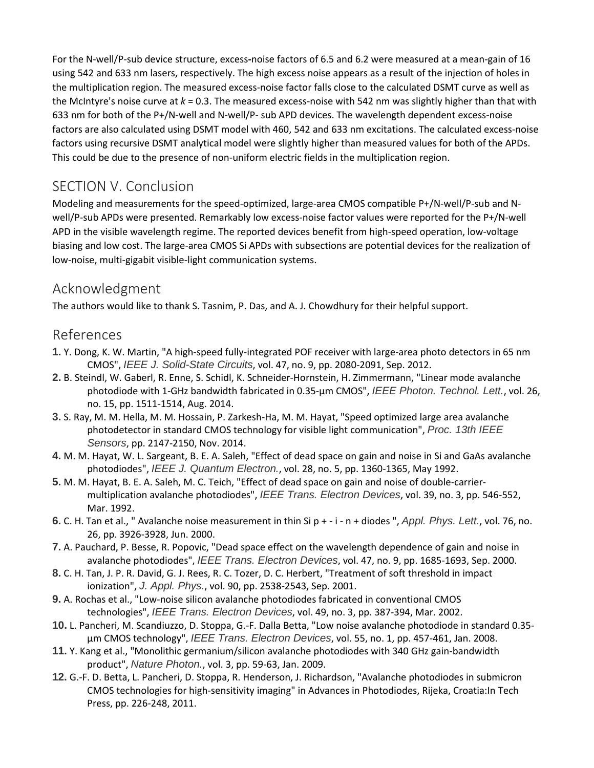For the N-well/P-sub device structure, excess**-**noise factors of 6.5 and 6.2 were measured at a mean-gain of 16 using 542 and 633 nm lasers, respectively. The high excess noise appears as a result of the injection of holes in the multiplication region. The measured excess-noise factor falls close to the calculated DSMT curve as well as the McIntyre's noise curve at *k* = 0.3. The measured excess-noise with 542 nm was slightly higher than that with 633 nm for both of the P+/N-well and N-well/P- sub APD devices. The wavelength dependent excess-noise factors are also calculated using DSMT model with 460, 542 and 633 nm excitations. The calculated excess-noise factors using recursive DSMT analytical model were slightly higher than measured values for both of the APDs. This could be due to the presence of non-uniform electric fields in the multiplication region.

## SECTION V. Conclusion

Modeling and measurements for the speed-optimized, large-area CMOS compatible P+/N-well/P-sub and Nwell/P-sub APDs were presented. Remarkably low excess-noise factor values were reported for the P+/N-well APD in the visible wavelength regime. The reported devices benefit from high-speed operation, low-voltage biasing and low cost. The large-area CMOS Si APDs with subsections are potential devices for the realization of low-noise, multi-gigabit visible-light communication systems.

## Acknowledgment

The authors would like to thank S. Tasnim, P. Das, and A. J. Chowdhury for their helpful support.

#### References

- **1.** Y. Dong, K. W. Martin, "A high-speed fully-integrated POF receiver with large-area photo detectors in 65 nm CMOS", *IEEE J. Solid-State Circuits*, vol. 47, no. 9, pp. 2080-2091, Sep. 2012.
- **2.** B. Steindl, W. Gaberl, R. Enne, S. Schidl, K. Schneider-Hornstein, H. Zimmermann, "Linear mode avalanche photodiode with 1-GHz bandwidth fabricated in 0.35-μm CMOS", *IEEE Photon. Technol. Lett.*, vol. 26, no. 15, pp. 1511-1514, Aug. 2014.
- **3.** S. Ray, M. M. Hella, M. M. Hossain, P. Zarkesh-Ha, M. M. Hayat, "Speed optimized large area avalanche photodetector in standard CMOS technology for visible light communication", *Proc. 13th IEEE Sensors*, pp. 2147-2150, Nov. 2014.
- **4.** M. M. Hayat, W. L. Sargeant, B. E. A. Saleh, "Effect of dead space on gain and noise in Si and GaAs avalanche photodiodes", *IEEE J. Quantum Electron.*, vol. 28, no. 5, pp. 1360-1365, May 1992.
- **5.** M. M. Hayat, B. E. A. Saleh, M. C. Teich, "Effect of dead space on gain and noise of double-carriermultiplication avalanche photodiodes", *IEEE Trans. Electron Devices*, vol. 39, no. 3, pp. 546-552, Mar. 1992.
- **6.** C. H. Tan et al., " Avalanche noise measurement in thin Si p + i n + diodes ", *Appl. Phys. Lett.*, vol. 76, no. 26, pp. 3926-3928, Jun. 2000.
- **7.** A. Pauchard, P. Besse, R. Popovic, "Dead space effect on the wavelength dependence of gain and noise in avalanche photodiodes", *IEEE Trans. Electron Devices*, vol. 47, no. 9, pp. 1685-1693, Sep. 2000.
- **8.** C. H. Tan, J. P. R. David, G. J. Rees, R. C. Tozer, D. C. Herbert, "Treatment of soft threshold in impact ionization", *J. Appl. Phys.*, vol. 90, pp. 2538-2543, Sep. 2001.
- **9.** A. Rochas et al., "Low-noise silicon avalanche photodiodes fabricated in conventional CMOS technologies", *IEEE Trans. Electron Devices*, vol. 49, no. 3, pp. 387-394, Mar. 2002.
- **10.** L. Pancheri, M. Scandiuzzo, D. Stoppa, G.-F. Dalla Betta, "Low noise avalanche photodiode in standard 0.35 μm CMOS technology", *IEEE Trans. Electron Devices*, vol. 55, no. 1, pp. 457-461, Jan. 2008.
- **11.** Y. Kang et al., "Monolithic germanium/silicon avalanche photodiodes with 340 GHz gain-bandwidth product", *Nature Photon.*, vol. 3, pp. 59-63, Jan. 2009.
- **12.** G.-F. D. Betta, L. Pancheri, D. Stoppa, R. Henderson, J. Richardson, "Avalanche photodiodes in submicron CMOS technologies for high-sensitivity imaging" in Advances in Photodiodes, Rijeka, Croatia:In Tech Press, pp. 226-248, 2011.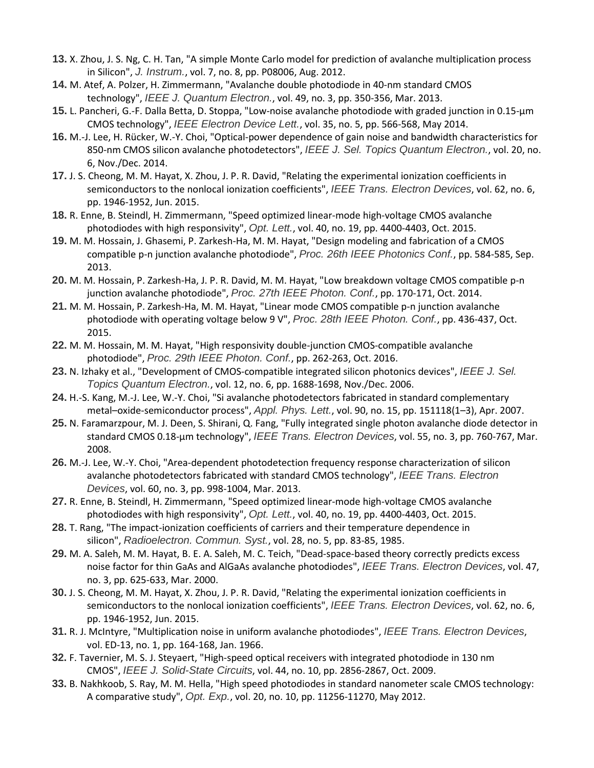- **13.** X. Zhou, J. S. Ng, C. H. Tan, "A simple Monte Carlo model for prediction of avalanche multiplication process in Silicon", *J. Instrum.*, vol. 7, no. 8, pp. P08006, Aug. 2012.
- **14.** M. Atef, A. Polzer, H. Zimmermann, "Avalanche double photodiode in 40-nm standard CMOS technology", *IEEE J. Quantum Electron.*, vol. 49, no. 3, pp. 350-356, Mar. 2013.
- **15.** L. Pancheri, G.-F. Dalla Betta, D. Stoppa, "Low-noise avalanche photodiode with graded junction in 0.15-μm CMOS technology", *IEEE Electron Device Lett.*, vol. 35, no. 5, pp. 566-568, May 2014.
- **16.** M.-J. Lee, H. Rücker, W.-Y. Choi, "Optical-power dependence of gain noise and bandwidth characteristics for 850-nm CMOS silicon avalanche photodetectors", *IEEE J. Sel. Topics Quantum Electron.*, vol. 20, no. 6, Nov./Dec. 2014.
- **17.** J. S. Cheong, M. M. Hayat, X. Zhou, J. P. R. David, "Relating the experimental ionization coefficients in semiconductors to the nonlocal ionization coefficients", *IEEE Trans. Electron Devices*, vol. 62, no. 6, pp. 1946-1952, Jun. 2015.
- **18.** R. Enne, B. Steindl, H. Zimmermann, "Speed optimized linear-mode high-voltage CMOS avalanche photodiodes with high responsivity", *Opt. Lett.*, vol. 40, no. 19, pp. 4400-4403, Oct. 2015.
- **19.** M. M. Hossain, J. Ghasemi, P. Zarkesh-Ha, M. M. Hayat, "Design modeling and fabrication of a CMOS compatible p-n junction avalanche photodiode", *Proc. 26th IEEE Photonics Conf.*, pp. 584-585, Sep. 2013.
- **20.** M. M. Hossain, P. Zarkesh-Ha, J. P. R. David, M. M. Hayat, "Low breakdown voltage CMOS compatible p-n junction avalanche photodiode", *Proc. 27th IEEE Photon. Conf.*, pp. 170-171, Oct. 2014.
- **21.** M. M. Hossain, P. Zarkesh-Ha, M. M. Hayat, "Linear mode CMOS compatible p-n junction avalanche photodiode with operating voltage below 9 V", *Proc. 28th IEEE Photon. Conf.*, pp. 436-437, Oct. 2015.
- **22.** M. M. Hossain, M. M. Hayat, "High responsivity double-junction CMOS-compatible avalanche photodiode", *Proc. 29th IEEE Photon. Conf.*, pp. 262-263, Oct. 2016.
- **23.** N. Izhaky et al., "Development of CMOS-compatible integrated silicon photonics devices", *IEEE J. Sel. Topics Quantum Electron.*, vol. 12, no. 6, pp. 1688-1698, Nov./Dec. 2006.
- **24.** H.-S. Kang, M.-J. Lee, W.-Y. Choi, "Si avalanche photodetectors fabricated in standard complementary metal–oxide-semiconductor process", *Appl. Phys. Lett.*, vol. 90, no. 15, pp. 151118(1–3), Apr. 2007.
- **25.** N. Faramarzpour, M. J. Deen, S. Shirani, Q. Fang, "Fully integrated single photon avalanche diode detector in standard CMOS 0.18-μm technology", *IEEE Trans. Electron Devices*, vol. 55, no. 3, pp. 760-767, Mar. 2008.
- **26.** M.-J. Lee, W.-Y. Choi, "Area-dependent photodetection frequency response characterization of silicon avalanche photodetectors fabricated with standard CMOS technology", *IEEE Trans. Electron Devices*, vol. 60, no. 3, pp. 998-1004, Mar. 2013.
- **27.** R. Enne, B. Steindl, H. Zimmermann, "Speed optimized linear-mode high-voltage CMOS avalanche photodiodes with high responsivity", *Opt. Lett.*, vol. 40, no. 19, pp. 4400-4403, Oct. 2015.
- **28.** T. Rang, "The impact-ionization coefficients of carriers and their temperature dependence in silicon", *Radioelectron. Commun. Syst.*, vol. 28, no. 5, pp. 83-85, 1985.
- **29.** M. A. Saleh, M. M. Hayat, B. E. A. Saleh, M. C. Teich, "Dead-space-based theory correctly predicts excess noise factor for thin GaAs and AlGaAs avalanche photodiodes", *IEEE Trans. Electron Devices*, vol. 47, no. 3, pp. 625-633, Mar. 2000.
- **30.** J. S. Cheong, M. M. Hayat, X. Zhou, J. P. R. David, "Relating the experimental ionization coefficients in semiconductors to the nonlocal ionization coefficients", *IEEE Trans. Electron Devices*, vol. 62, no. 6, pp. 1946-1952, Jun. 2015.
- **31.** R. J. McIntyre, "Multiplication noise in uniform avalanche photodiodes", *IEEE Trans. Electron Devices*, vol. ED-13, no. 1, pp. 164-168, Jan. 1966.
- **32.** F. Tavernier, M. S. J. Steyaert, "High-speed optical receivers with integrated photodiode in 130 nm CMOS", *IEEE J. Solid-State Circuits*, vol. 44, no. 10, pp. 2856-2867, Oct. 2009.
- **33.** B. Nakhkoob, S. Ray, M. M. Hella, "High speed photodiodes in standard nanometer scale CMOS technology: A comparative study", *Opt. Exp.*, vol. 20, no. 10, pp. 11256-11270, May 2012.